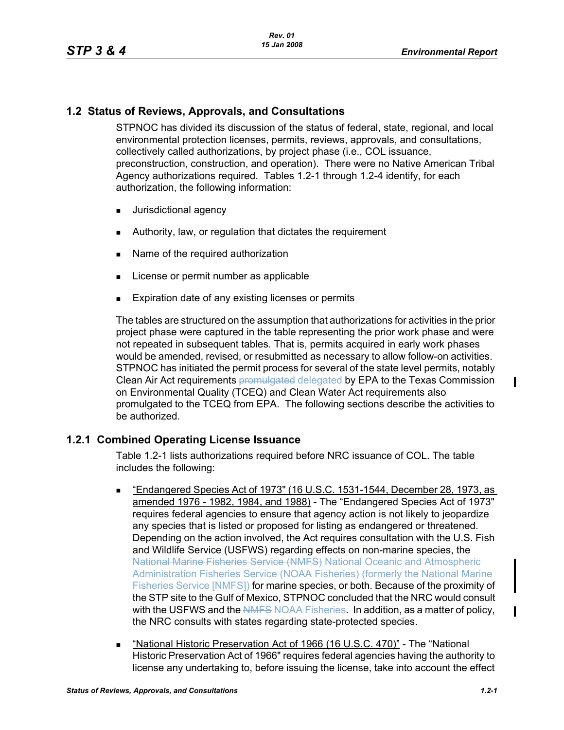# **1.2 Status of Reviews, Approvals, and Consultations**

STPNOC has divided its discussion of the status of federal, state, regional, and local environmental protection licenses, permits, reviews, approvals, and consultations, collectively called authorizations, by project phase (i.e., COL issuance, preconstruction, construction, and operation). There were no Native American Tribal Agency authorizations required. Tables 1.2-1 through 1.2-4 identify, for each authorization, the following information:

- **Jurisdictional agency**
- Authority, law, or regulation that dictates the requirement
- Name of the required authorization
- **License or permit number as applicable**
- **Expiration date of any existing licenses or permits**

The tables are structured on the assumption that authorizations for activities in the prior project phase were captured in the table representing the prior work phase and were not repeated in subsequent tables. That is, permits acquired in early work phases would be amended, revised, or resubmitted as necessary to allow follow-on activities. STPNOC has initiated the permit process for several of the state level permits, notably Clean Air Act requirements **promulgated delegated by EPA to the Texas Commission** on Environmental Quality (TCEQ) and Clean Water Act requirements also promulgated to the TCEQ from EPA. The following sections describe the activities to be authorized.

## **1.2.1 Combined Operating License Issuance**

Table 1.2-1 lists authorizations required before NRC issuance of COL. The table includes the following:

- "Endangered Species Act of 1973" (16 U.S.C. 1531-1544, December 28, 1973, as amended 1976 - 1982, 1984, and 1988) - The "Endangered Species Act of 1973" requires federal agencies to ensure that agency action is not likely to jeopardize any species that is listed or proposed for listing as endangered or threatened. Depending on the action involved, the Act requires consultation with the U.S. Fish and Wildlife Service (USFWS) regarding effects on non-marine species, the National Marine Fisheries Service (NMFS) National Oceanic and Atmospheric Administration Fisheries Service (NOAA Fisheries) (formerly the National Marine Fisheries Service [NMFS]) for marine species, or both. Because of the proximity of the STP site to the Gulf of Mexico, STPNOC concluded that the NRC would consult with the USFWS and the NMFS NOAA Fisheries. In addition, as a matter of policy, the NRC consults with states regarding state-protected species.
- " "National Historic Preservation Act of 1966 (16 U.S.C. 470)" The "National Historic Preservation Act of 1966" requires federal agencies having the authority to license any undertaking to, before issuing the license, take into account the effect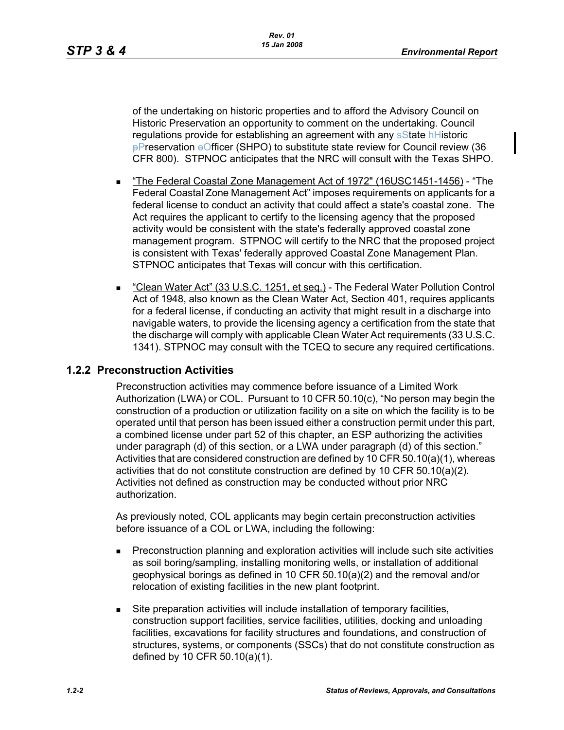of the undertaking on historic properties and to afford the Advisory Council on Historic Preservation an opportunity to comment on the undertaking. Council regulations provide for establishing an agreement with any satisfate hHistoric **PPreservation + Officer (SHPO) to substitute state review for Council review (36** CFR 800). STPNOC anticipates that the NRC will consult with the Texas SHPO.

- "The Federal Coastal Zone Management Act of 1972" (16USC1451-1456) "The Federal Coastal Zone Management Act" imposes requirements on applicants for a federal license to conduct an activity that could affect a state's coastal zone. The Act requires the applicant to certify to the licensing agency that the proposed activity would be consistent with the state's federally approved coastal zone management program. STPNOC will certify to the NRC that the proposed project is consistent with Texas' federally approved Coastal Zone Management Plan. STPNOC anticipates that Texas will concur with this certification.
- "Clean Water Act" (33 U.S.C. 1251, et seq.) The Federal Water Pollution Control Act of 1948, also known as the Clean Water Act, Section 401, requires applicants for a federal license, if conducting an activity that might result in a discharge into navigable waters, to provide the licensing agency a certification from the state that the discharge will comply with applicable Clean Water Act requirements (33 U.S.C. 1341). STPNOC may consult with the TCEQ to secure any required certifications.

# **1.2.2 Preconstruction Activities**

Preconstruction activities may commence before issuance of a Limited Work Authorization (LWA) or COL. Pursuant to 10 CFR 50.10(c), "No person may begin the construction of a production or utilization facility on a site on which the facility is to be operated until that person has been issued either a construction permit under this part, a combined license under part 52 of this chapter, an ESP authorizing the activities under paragraph (d) of this section, or a LWA under paragraph (d) of this section." Activities that are considered construction are defined by 10 CFR 50.10(a)(1), whereas activities that do not constitute construction are defined by 10 CFR 50.10(a)(2). Activities not defined as construction may be conducted without prior NRC authorization.

As previously noted, COL applicants may begin certain preconstruction activities before issuance of a COL or LWA, including the following:

- Preconstruction planning and exploration activities will include such site activities as soil boring/sampling, installing monitoring wells, or installation of additional geophysical borings as defined in 10 CFR 50.10(a)(2) and the removal and/or relocation of existing facilities in the new plant footprint.
- Site preparation activities will include installation of temporary facilities, construction support facilities, service facilities, utilities, docking and unloading facilities, excavations for facility structures and foundations, and construction of structures, systems, or components (SSCs) that do not constitute construction as defined by 10 CFR 50.10(a)(1).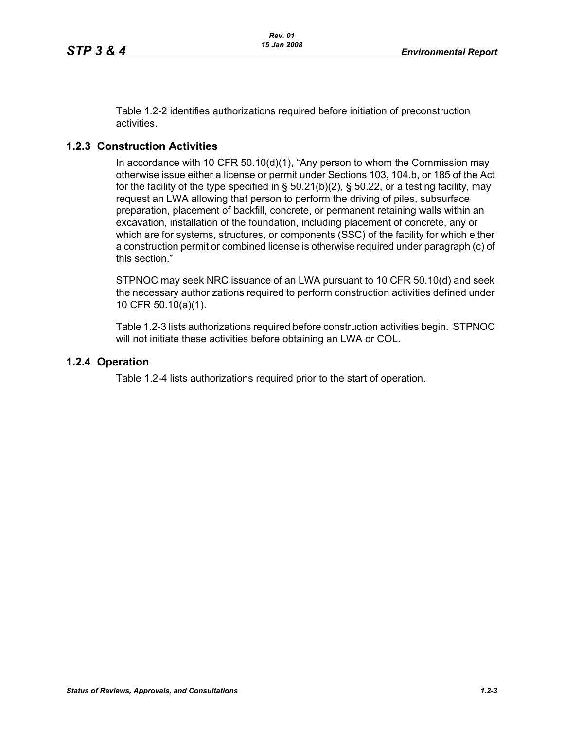Table 1.2-2 identifies authorizations required before initiation of preconstruction activities.

# **1.2.3 Construction Activities**

In accordance with 10 CFR 50.10(d)(1), "Any person to whom the Commission may otherwise issue either a license or permit under Sections 103, 104.b, or 185 of the Act for the facility of the type specified in  $\S$  50.21(b)(2),  $\S$  50.22, or a testing facility, may request an LWA allowing that person to perform the driving of piles, subsurface preparation, placement of backfill, concrete, or permanent retaining walls within an excavation, installation of the foundation, including placement of concrete, any or which are for systems, structures, or components (SSC) of the facility for which either a construction permit or combined license is otherwise required under paragraph (c) of this section."

STPNOC may seek NRC issuance of an LWA pursuant to 10 CFR 50.10(d) and seek the necessary authorizations required to perform construction activities defined under 10 CFR 50.10(a)(1).

Table 1.2-3 lists authorizations required before construction activities begin. STPNOC will not initiate these activities before obtaining an LWA or COL.

## **1.2.4 Operation**

Table 1.2-4 lists authorizations required prior to the start of operation.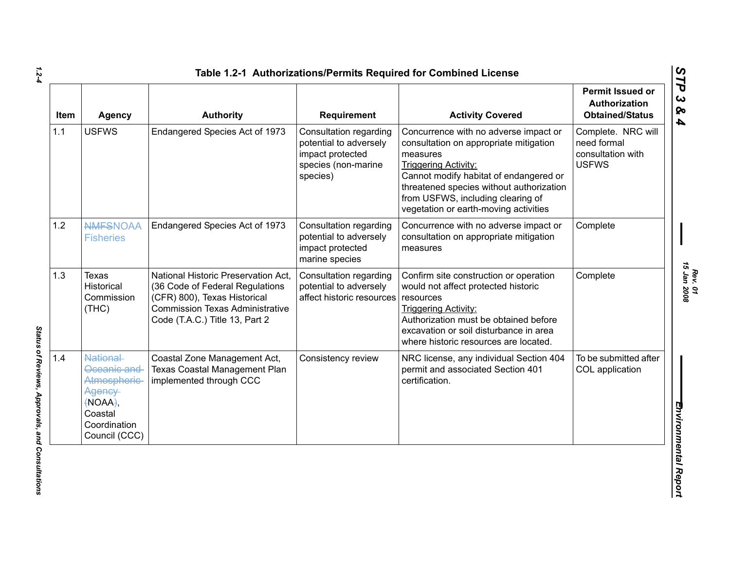| <b>Item</b> | <b>Agency</b>                                                                                              | <b>Authority</b>                                                                                                                                                                   | Requirement                                                                                             | <b>Activity Covered</b>                                                                                                                                                                                                                                                                        | <b>Permit Issued or</b><br>Authorization<br><b>Obtained/Status</b>     |
|-------------|------------------------------------------------------------------------------------------------------------|------------------------------------------------------------------------------------------------------------------------------------------------------------------------------------|---------------------------------------------------------------------------------------------------------|------------------------------------------------------------------------------------------------------------------------------------------------------------------------------------------------------------------------------------------------------------------------------------------------|------------------------------------------------------------------------|
| 1.1         | <b>USFWS</b>                                                                                               | Endangered Species Act of 1973                                                                                                                                                     | Consultation regarding<br>potential to adversely<br>impact protected<br>species (non-marine<br>species) | Concurrence with no adverse impact or<br>consultation on appropriate mitigation<br>measures<br><b>Triggering Activity:</b><br>Cannot modify habitat of endangered or<br>threatened species without authorization<br>from USFWS, including clearing of<br>vegetation or earth-moving activities | Complete. NRC will<br>need formal<br>consultation with<br><b>USFWS</b> |
| 1.2         | <b>NMFSNOAA</b><br><b>Fisheries</b>                                                                        | Endangered Species Act of 1973                                                                                                                                                     | Consultation regarding<br>potential to adversely<br>impact protected<br>marine species                  | Concurrence with no adverse impact or<br>consultation on appropriate mitigation<br>measures                                                                                                                                                                                                    | Complete                                                               |
| 1.3         | <b>Texas</b><br><b>Historical</b><br>Commission<br>(THC)                                                   | National Historic Preservation Act,<br>(36 Code of Federal Regulations<br>(CFR) 800), Texas Historical<br><b>Commission Texas Administrative</b><br>Code (T.A.C.) Title 13, Part 2 | Consultation regarding<br>potential to adversely<br>affect historic resources                           | Confirm site construction or operation<br>would not affect protected historic<br>resources<br><b>Triggering Activity:</b><br>Authorization must be obtained before<br>excavation or soil disturbance in area<br>where historic resources are located.                                          | Complete                                                               |
| 1.4         | National-<br>Oceanic and<br>Atmospheric-<br>Agency-<br>(NOAA),<br>Coastal<br>Coordination<br>Council (CCC) | Coastal Zone Management Act,<br><b>Texas Coastal Management Plan</b><br>implemented through CCC                                                                                    | Consistency review                                                                                      | NRC license, any individual Section 404<br>permit and associated Section 401<br>certification.                                                                                                                                                                                                 | To be submitted after<br>COL application                               |

*1.2-4*

Status of Reviews, Approvals, and Consultations *Status of Reviews, Approvals, and Consultations* 

*Rev. 01*<br>15 Jan 2008 *15 Jan 2008*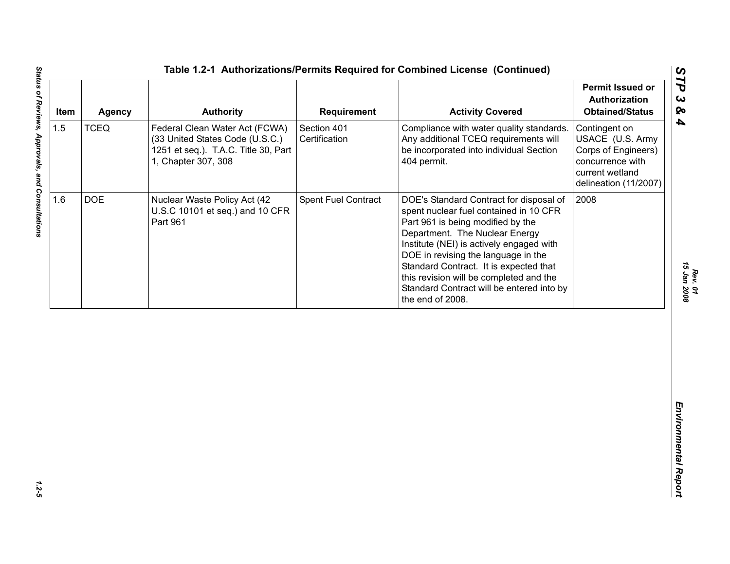| Item | Agency      | <b>Authority</b>                                                                                                                 | Requirement                  | <b>Activity Covered</b>                                                                                                                                                                                                                                                                                                                                                                           | Permit Issued or<br>Authorization<br><b>Obtained/Status</b>                                                              |
|------|-------------|----------------------------------------------------------------------------------------------------------------------------------|------------------------------|---------------------------------------------------------------------------------------------------------------------------------------------------------------------------------------------------------------------------------------------------------------------------------------------------------------------------------------------------------------------------------------------------|--------------------------------------------------------------------------------------------------------------------------|
| 1.5  | <b>TCEQ</b> | Federal Clean Water Act (FCWA)<br>(33 United States Code (U.S.C.)<br>1251 et seq.). T.A.C. Title 30, Part<br>1, Chapter 307, 308 | Section 401<br>Certification | Compliance with water quality standards.<br>Any additional TCEQ requirements will<br>be incorporated into individual Section<br>404 permit.                                                                                                                                                                                                                                                       | Contingent on<br>USACE (U.S. Army<br>Corps of Engineers)<br>concurrence with<br>current wetland<br>delineation (11/2007) |
| 1.6  | <b>DOE</b>  | Nuclear Waste Policy Act (42<br>U.S.C 10101 et seq.) and 10 CFR<br>Part 961                                                      | <b>Spent Fuel Contract</b>   | DOE's Standard Contract for disposal of<br>spent nuclear fuel contained in 10 CFR<br>Part 961 is being modified by the<br>Department. The Nuclear Energy<br>Institute (NEI) is actively engaged with<br>DOE in revising the language in the<br>Standard Contract. It is expected that<br>this revision will be completed and the<br>Standard Contract will be entered into by<br>the end of 2008. | 2008                                                                                                                     |
|      |             |                                                                                                                                  |                              |                                                                                                                                                                                                                                                                                                                                                                                                   |                                                                                                                          |
|      |             |                                                                                                                                  |                              |                                                                                                                                                                                                                                                                                                                                                                                                   |                                                                                                                          |

 $1.2 - 5$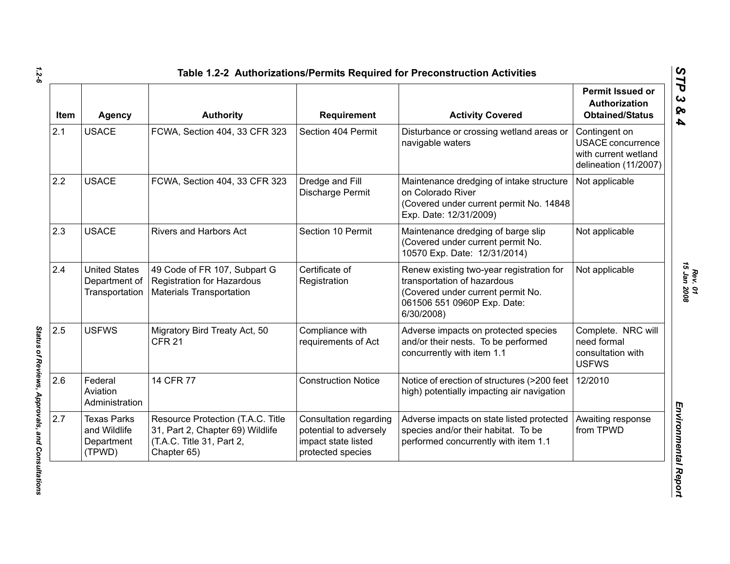| Item | <b>Agency</b>                                              | <b>Authority</b>                                                                                                  | Requirement                                                                                  | <b>Activity Covered</b>                                                                                                                                   | <b>Permit Issued or</b><br><b>Authorization</b><br><b>Obtained/Status</b>                  |
|------|------------------------------------------------------------|-------------------------------------------------------------------------------------------------------------------|----------------------------------------------------------------------------------------------|-----------------------------------------------------------------------------------------------------------------------------------------------------------|--------------------------------------------------------------------------------------------|
| 2.1  | <b>USACE</b>                                               | FCWA, Section 404, 33 CFR 323                                                                                     | Section 404 Permit                                                                           | Disturbance or crossing wetland areas or<br>navigable waters                                                                                              | Contingent on<br><b>USACE</b> concurrence<br>with current wetland<br>delineation (11/2007) |
| 2.2  | <b>USACE</b>                                               | FCWA, Section 404, 33 CFR 323                                                                                     | Dredge and Fill<br>Discharge Permit                                                          | Maintenance dredging of intake structure<br>on Colorado River<br>(Covered under current permit No. 14848<br>Exp. Date: 12/31/2009)                        | Not applicable                                                                             |
| 2.3  | <b>USACE</b>                                               | Rivers and Harbors Act                                                                                            | Section 10 Permit                                                                            | Maintenance dredging of barge slip<br>(Covered under current permit No.<br>10570 Exp. Date: 12/31/2014)                                                   | Not applicable                                                                             |
| 2.4  | <b>United States</b><br>Department of<br>Transportation    | 49 Code of FR 107, Subpart G<br><b>Registration for Hazardous</b><br><b>Materials Transportation</b>              | Certificate of<br>Registration                                                               | Renew existing two-year registration for<br>transportation of hazardous<br>(Covered under current permit No.<br>061506 551 0960P Exp. Date:<br>6/30/2008) | Not applicable                                                                             |
| 2.5  | <b>USFWS</b>                                               | Migratory Bird Treaty Act, 50<br><b>CFR 21</b>                                                                    | Compliance with<br>requirements of Act                                                       | Adverse impacts on protected species<br>and/or their nests. To be performed<br>concurrently with item 1.1                                                 | Complete. NRC will<br>need formal<br>consultation with<br><b>USFWS</b>                     |
| 2.6  | Federal<br>Aviation<br>Administration                      | 14 CFR 77                                                                                                         | <b>Construction Notice</b>                                                                   | Notice of erection of structures (>200 feet<br>high) potentially impacting air navigation                                                                 | 12/2010                                                                                    |
| 2.7  | <b>Texas Parks</b><br>and Wildlife<br>Department<br>(TPWD) | Resource Protection (T.A.C. Title<br>31, Part 2, Chapter 69) Wildlife<br>(T.A.C. Title 31, Part 2,<br>Chapter 65) | Consultation regarding<br>potential to adversely<br>impact state listed<br>protected species | Adverse impacts on state listed protected<br>species and/or their habitat. To be<br>performed concurrently with item 1.1                                  | Awaiting response<br>from TPWD                                                             |

Status of Reviews, Approvals, and Consultations *Status of Reviews, Approvals, and Consultations*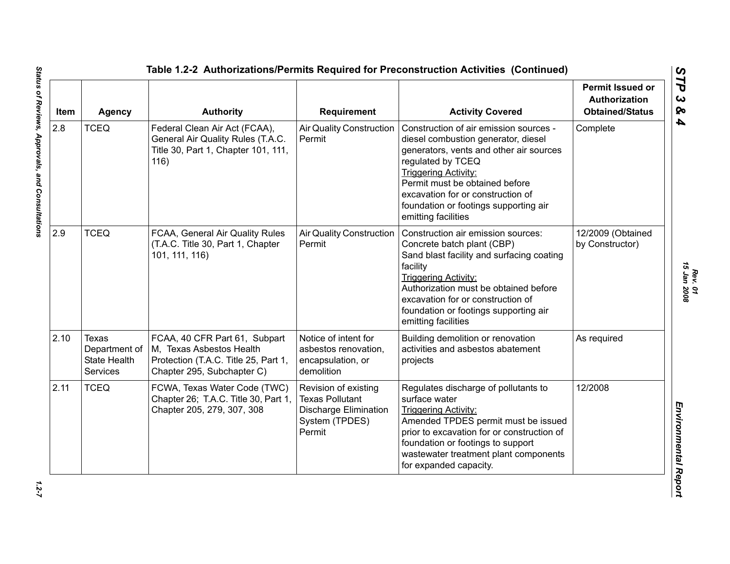| Item | <b>Agency</b>                                                    | <b>Authority</b>                                                                                                                | Requirement                                                                                                | <b>Activity Covered</b>                                                                                                                                                                                                                                                                                             | <b>Permit Issued or</b><br><b>Authorization</b><br><b>Obtained/Status</b> |
|------|------------------------------------------------------------------|---------------------------------------------------------------------------------------------------------------------------------|------------------------------------------------------------------------------------------------------------|---------------------------------------------------------------------------------------------------------------------------------------------------------------------------------------------------------------------------------------------------------------------------------------------------------------------|---------------------------------------------------------------------------|
| 2.8  | <b>TCEQ</b>                                                      | Federal Clean Air Act (FCAA),<br>General Air Quality Rules (T.A.C.<br>Title 30, Part 1, Chapter 101, 111,<br>116)               | <b>Air Quality Construction</b><br>Permit                                                                  | Construction of air emission sources -<br>diesel combustion generator, diesel<br>generators, vents and other air sources<br>regulated by TCEQ<br><b>Triggering Activity:</b><br>Permit must be obtained before<br>excavation for or construction of<br>foundation or footings supporting air<br>emitting facilities | Complete                                                                  |
| 2.9  | <b>TCEQ</b>                                                      | FCAA, General Air Quality Rules<br>(T.A.C. Title 30, Part 1, Chapter<br>101, 111, 116)                                          | <b>Air Quality Construction</b><br>Permit                                                                  | Construction air emission sources:<br>Concrete batch plant (CBP)<br>Sand blast facility and surfacing coating<br>facility<br><b>Triggering Activity:</b><br>Authorization must be obtained before<br>excavation for or construction of<br>foundation or footings supporting air<br>emitting facilities              | 12/2009 (Obtained<br>by Constructor)                                      |
| 2.10 | Texas<br>Department of<br><b>State Health</b><br><b>Services</b> | FCAA, 40 CFR Part 61, Subpart<br>M, Texas Asbestos Health<br>Protection (T.A.C. Title 25, Part 1,<br>Chapter 295, Subchapter C) | Notice of intent for<br>asbestos renovation,<br>encapsulation, or<br>demolition                            | Building demolition or renovation<br>activities and asbestos abatement<br>projects                                                                                                                                                                                                                                  | As required                                                               |
| 2.11 | <b>TCEQ</b>                                                      | FCWA, Texas Water Code (TWC)<br>Chapter 26; T.A.C. Title 30, Part 1,<br>Chapter 205, 279, 307, 308                              | Revision of existing<br><b>Texas Pollutant</b><br><b>Discharge Elimination</b><br>System (TPDES)<br>Permit | Regulates discharge of pollutants to<br>surface water<br><b>Triggering Activity:</b><br>Amended TPDES permit must be issued<br>prior to excavation for or construction of<br>foundation or footings to support<br>wastewater treatment plant components<br>for expanded capacity.                                   | 12/2008                                                                   |

*Rev. 01*<br>15 Jan 2008 *15 Jan 2008*

 $1.2 - 7$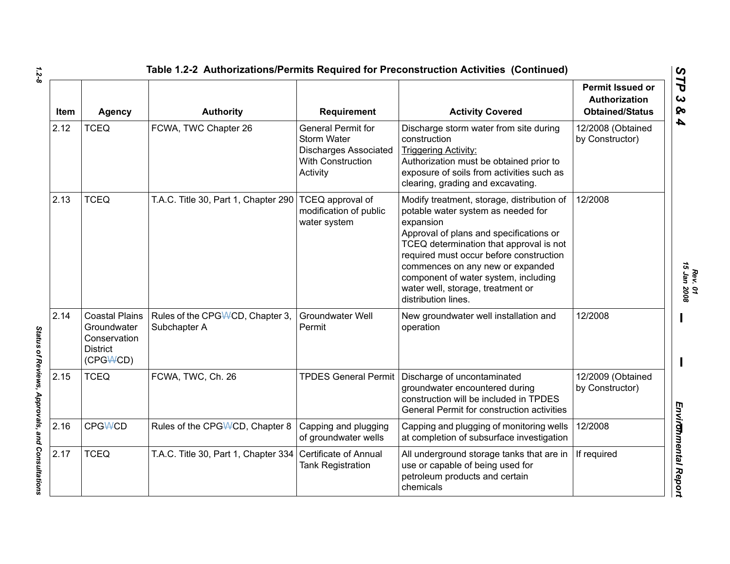| Item | <b>Agency</b>                                                                       | <b>Authority</b>                                | Requirement                                                                                               | <b>Activity Covered</b>                                                                                                                                                                                                                                                                                                                                                | <b>Permit Issued or</b><br>Authorization<br><b>Obtained/Status</b> |
|------|-------------------------------------------------------------------------------------|-------------------------------------------------|-----------------------------------------------------------------------------------------------------------|------------------------------------------------------------------------------------------------------------------------------------------------------------------------------------------------------------------------------------------------------------------------------------------------------------------------------------------------------------------------|--------------------------------------------------------------------|
| 2.12 | <b>TCEQ</b>                                                                         | FCWA, TWC Chapter 26                            | <b>General Permit for</b><br>Storm Water<br><b>Discharges Associated</b><br>With Construction<br>Activity | Discharge storm water from site during<br>construction<br><b>Triggering Activity:</b><br>Authorization must be obtained prior to<br>exposure of soils from activities such as<br>clearing, grading and excavating.                                                                                                                                                     | 12/2008 (Obtained<br>by Constructor)                               |
| 2.13 | <b>TCEQ</b>                                                                         | T.A.C. Title 30, Part 1, Chapter 290            | TCEQ approval of<br>modification of public<br>water system                                                | Modify treatment, storage, distribution of<br>potable water system as needed for<br>expansion<br>Approval of plans and specifications or<br>TCEQ determination that approval is not<br>required must occur before construction<br>commences on any new or expanded<br>component of water system, including<br>water well, storage, treatment or<br>distribution lines. | 12/2008                                                            |
| 2.14 | <b>Coastal Plains</b><br>Groundwater<br>Conservation<br><b>District</b><br>(CPGWCD) | Rules of the CPGWCD, Chapter 3,<br>Subchapter A | <b>Groundwater Well</b><br>Permit                                                                         | New groundwater well installation and<br>operation                                                                                                                                                                                                                                                                                                                     | 12/2008                                                            |
| 2.15 | <b>TCEQ</b>                                                                         | FCWA, TWC, Ch. 26                               | <b>TPDES General Permit</b>                                                                               | Discharge of uncontaminated<br>groundwater encountered during<br>construction will be included in TPDES<br>General Permit for construction activities                                                                                                                                                                                                                  | 12/2009 (Obtained<br>by Constructor)                               |
| 2.16 | <b>CPGWCD</b>                                                                       | Rules of the CPG\\CD, Chapter 8                 | Capping and plugging<br>of groundwater wells                                                              | Capping and plugging of monitoring wells<br>at completion of subsurface investigation                                                                                                                                                                                                                                                                                  | 12/2008                                                            |
| 2.17 | <b>TCEQ</b>                                                                         | T.A.C. Title 30, Part 1, Chapter 334            | <b>Certificate of Annual</b><br><b>Tank Registration</b>                                                  | All underground storage tanks that are in<br>use or capable of being used for<br>petroleum products and certain<br>chemicals                                                                                                                                                                                                                                           | If required                                                        |

*1.2-8*

*Rev. 01*

Status of Reviews, Approvals, and Consultations *Status of Reviews, Approvals, and Consultations*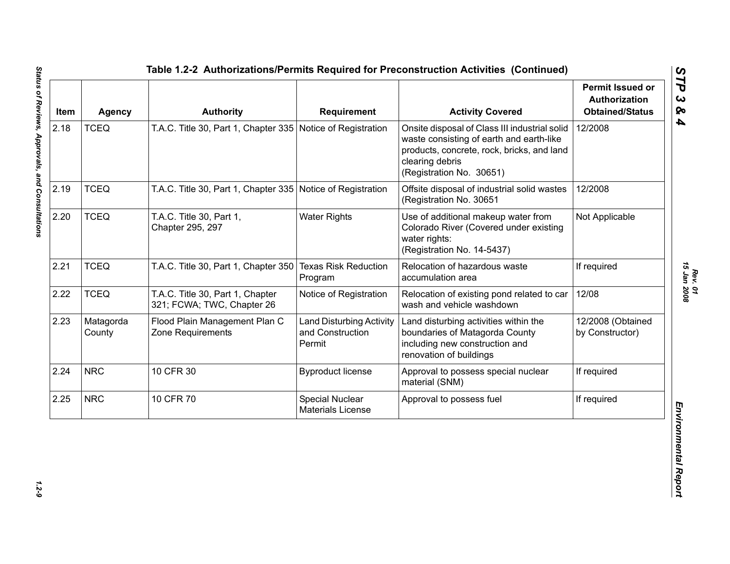| Item | <b>Agency</b>       | <b>Authority</b>                                               | Requirement                                                   | <b>Activity Covered</b>                                                                                                                                                                | <b>Permit Issued or</b><br><b>Authorization</b><br><b>Obtained/Status</b> |
|------|---------------------|----------------------------------------------------------------|---------------------------------------------------------------|----------------------------------------------------------------------------------------------------------------------------------------------------------------------------------------|---------------------------------------------------------------------------|
| 2.18 | <b>TCEQ</b>         | T.A.C. Title 30, Part 1, Chapter 335 Notice of Registration    |                                                               | Onsite disposal of Class III industrial solid<br>waste consisting of earth and earth-like<br>products, concrete, rock, bricks, and land<br>clearing debris<br>(Registration No. 30651) | 12/2008                                                                   |
| 2.19 | <b>TCEQ</b>         | T.A.C. Title 30, Part 1, Chapter 335 Notice of Registration    |                                                               | Offsite disposal of industrial solid wastes<br>(Registration No. 30651                                                                                                                 | 12/2008                                                                   |
| 2.20 | <b>TCEQ</b>         | T.A.C. Title 30, Part 1,<br>Chapter 295, 297                   | <b>Water Rights</b>                                           | Use of additional makeup water from<br>Colorado River (Covered under existing<br>water rights:<br>(Registration No. 14-5437)                                                           | Not Applicable                                                            |
| 2.21 | <b>TCEQ</b>         | T.A.C. Title 30, Part 1, Chapter 350                           | <b>Texas Risk Reduction</b><br>Program                        | Relocation of hazardous waste<br>accumulation area                                                                                                                                     | If required                                                               |
| 2.22 | <b>TCEQ</b>         | T.A.C. Title 30, Part 1, Chapter<br>321; FCWA; TWC, Chapter 26 | Notice of Registration                                        | Relocation of existing pond related to car<br>wash and vehicle washdown                                                                                                                | 12/08                                                                     |
| 2.23 | Matagorda<br>County | Flood Plain Management Plan C<br>Zone Requirements             | <b>Land Disturbing Activity</b><br>and Construction<br>Permit | Land disturbing activities within the<br>boundaries of Matagorda County<br>including new construction and<br>renovation of buildings                                                   | 12/2008 (Obtained<br>by Constructor)                                      |
| 2.24 | <b>NRC</b>          | 10 CFR 30                                                      | <b>Byproduct license</b>                                      | Approval to possess special nuclear<br>material (SNM)                                                                                                                                  | If required                                                               |
| 2.25 | <b>NRC</b>          | 10 CFR 70                                                      | Special Nuclear<br><b>Materials License</b>                   | Approval to possess fuel                                                                                                                                                               | If required                                                               |

*Rev. 01*<br>15 Jan 2008 *15 Jan 2008*

 $1.2 - 9$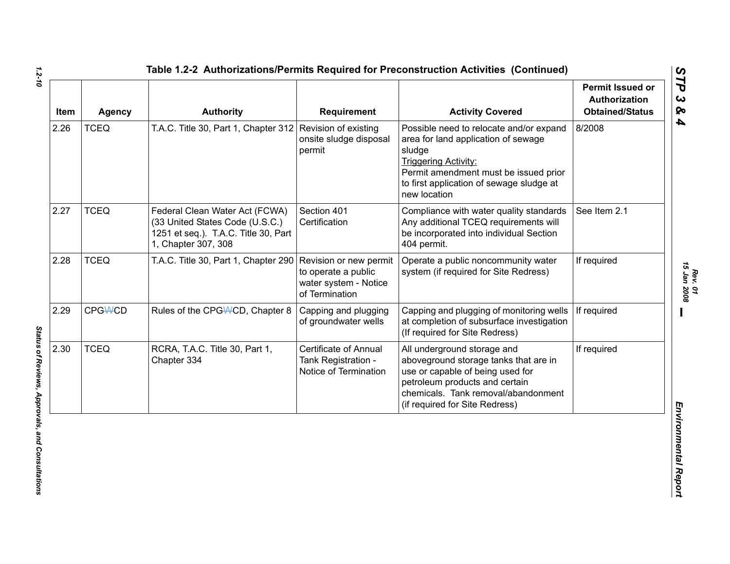| <b>Item</b> | <b>Agency</b> | <b>Authority</b>                                                                                                                 | <b>Requirement</b>                                                                       | <b>Activity Covered</b>                                                                                                                                                                                                      | <b>Permit Issued or</b><br>Authorization<br><b>Obtained/Status</b> |
|-------------|---------------|----------------------------------------------------------------------------------------------------------------------------------|------------------------------------------------------------------------------------------|------------------------------------------------------------------------------------------------------------------------------------------------------------------------------------------------------------------------------|--------------------------------------------------------------------|
| 2.26        | <b>TCEQ</b>   | T.A.C. Title 30, Part 1, Chapter 312 Revision of existing                                                                        | onsite sludge disposal<br>permit                                                         | Possible need to relocate and/or expand<br>area for land application of sewage<br>sludge<br><b>Triggering Activity:</b><br>Permit amendment must be issued prior<br>to first application of sewage sludge at<br>new location | 8/2008                                                             |
| 2.27        | <b>TCEQ</b>   | Federal Clean Water Act (FCWA)<br>(33 United States Code (U.S.C.)<br>1251 et seq.). T.A.C. Title 30, Part<br>1, Chapter 307, 308 | Section 401<br>Certification                                                             | Compliance with water quality standards<br>Any additional TCEQ requirements will<br>be incorporated into individual Section<br>404 permit.                                                                                   | See Item 2.1                                                       |
| 2.28        | <b>TCEQ</b>   | T.A.C. Title 30, Part 1, Chapter 290                                                                                             | Revision or new permit<br>to operate a public<br>water system - Notice<br>of Termination | Operate a public noncommunity water<br>system (if required for Site Redress)                                                                                                                                                 | If required                                                        |
| 2.29        | <b>CPGWCD</b> | Rules of the CPG\ACD, Chapter 8                                                                                                  | Capping and plugging<br>of groundwater wells                                             | Capping and plugging of monitoring wells<br>at completion of subsurface investigation<br>(If required for Site Redress)                                                                                                      | If required                                                        |
| 2.30        | <b>TCEQ</b>   | RCRA, T.A.C. Title 30, Part 1,<br>Chapter 334                                                                                    | <b>Certificate of Annual</b><br>Tank Registration -<br>Notice of Termination             | All underground storage and<br>aboveground storage tanks that are in<br>use or capable of being used for<br>petroleum products and certain<br>chemicals. Tank removal/abandonment<br>(if required for Site Redress)          | If required                                                        |

*1.2-10*

*Rev. 01*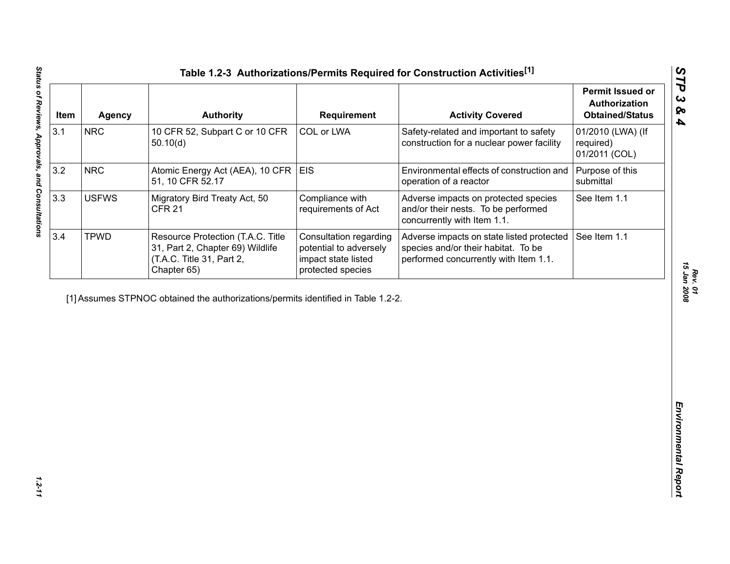| 3.1<br>3.2<br>3.3<br>3.4 | <b>NRC</b><br><b>NRC</b><br><b>USFWS</b> | 10 CFR 52, Subpart C or 10 CFR<br>50.10(d)<br>Atomic Energy Act (AEA), 10 CFR<br>51, 10 CFR 52.17                 | COL or LWA<br><b>EIS</b>                                                                     | Safety-related and important to safety<br>construction for a nuclear power facility                                       | 01/2010 (LWA) (If<br>required) |
|--------------------------|------------------------------------------|-------------------------------------------------------------------------------------------------------------------|----------------------------------------------------------------------------------------------|---------------------------------------------------------------------------------------------------------------------------|--------------------------------|
|                          |                                          |                                                                                                                   |                                                                                              |                                                                                                                           | 01/2011 (COL)                  |
|                          |                                          |                                                                                                                   |                                                                                              | Environmental effects of construction and<br>operation of a reactor                                                       | Purpose of this<br>submittal   |
|                          |                                          | Migratory Bird Treaty Act, 50<br><b>CFR 21</b>                                                                    | Compliance with<br>requirements of Act                                                       | Adverse impacts on protected species<br>and/or their nests. To be performed<br>concurrently with Item 1.1.                | See Item 1.1                   |
|                          | <b>TPWD</b>                              | Resource Protection (T.A.C. Title<br>31, Part 2, Chapter 69) Wildlife<br>(T.A.C. Title 31, Part 2,<br>Chapter 65) | Consultation regarding<br>potential to adversely<br>impact state listed<br>protected species | Adverse impacts on state listed protected<br>species and/or their habitat. To be<br>performed concurrently with Item 1.1. | See Item 1.1                   |
|                          |                                          | [1] Assumes STPNOC obtained the authorizations/permits identified in Table 1.2-2.                                 |                                                                                              |                                                                                                                           |                                |
|                          |                                          |                                                                                                                   |                                                                                              |                                                                                                                           |                                |
|                          |                                          |                                                                                                                   |                                                                                              |                                                                                                                           |                                |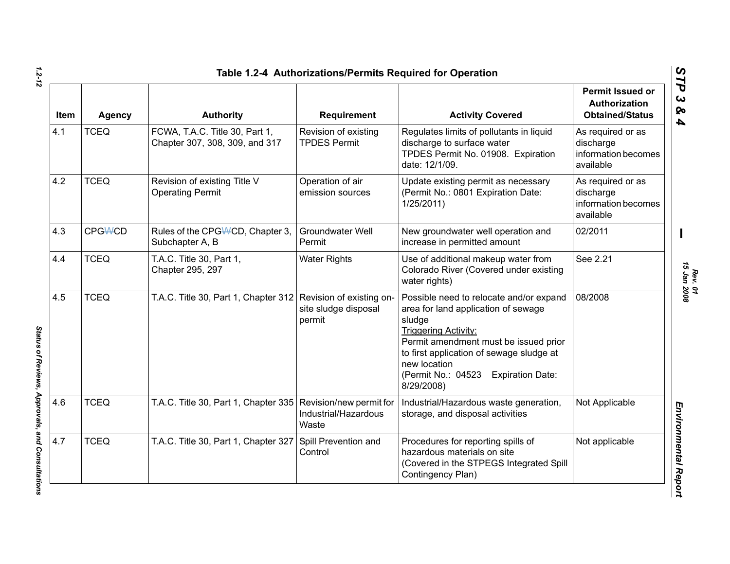| <b>Item</b> | <b>Agency</b>  | <b>Authority</b>                                                 | <b>Requirement</b>                          | <b>Activity Covered</b>                                                                                                                                                                                                                                                                     | <b>Permit Issued or</b><br>Authorization<br><b>Obtained/Status</b> |
|-------------|----------------|------------------------------------------------------------------|---------------------------------------------|---------------------------------------------------------------------------------------------------------------------------------------------------------------------------------------------------------------------------------------------------------------------------------------------|--------------------------------------------------------------------|
| 4.1         | <b>TCEQ</b>    | FCWA, T.A.C. Title 30, Part 1,<br>Chapter 307, 308, 309, and 317 | Revision of existing<br><b>TPDES Permit</b> | Regulates limits of pollutants in liquid<br>discharge to surface water<br>TPDES Permit No. 01908. Expiration<br>date: 12/1/09.                                                                                                                                                              | As required or as<br>discharge<br>information becomes<br>available |
| 4.2         | <b>TCEQ</b>    | Revision of existing Title V<br><b>Operating Permit</b>          | Operation of air<br>emission sources        | Update existing permit as necessary<br>(Permit No.: 0801 Expiration Date:<br>1/25/2011)                                                                                                                                                                                                     | As required or as<br>discharge<br>information becomes<br>available |
| 4.3         | <b>CPG\ACD</b> | Rules of the CPGWCD, Chapter 3,<br>Subchapter A, B               | <b>Groundwater Well</b><br>Permit           | New groundwater well operation and<br>increase in permitted amount                                                                                                                                                                                                                          | 02/2011                                                            |
| 4.4         | <b>TCEQ</b>    | T.A.C. Title 30, Part 1,<br>Chapter 295, 297                     | <b>Water Rights</b>                         | Use of additional makeup water from<br>Colorado River (Covered under existing<br>water rights)                                                                                                                                                                                              | See 2.21                                                           |
| 4.5         | <b>TCEQ</b>    | T.A.C. Title 30, Part 1, Chapter 312 Revision of existing on-    | site sludge disposal<br>permit              | Possible need to relocate and/or expand<br>area for land application of sewage<br>sludge<br><b>Triggering Activity:</b><br>Permit amendment must be issued prior<br>to first application of sewage sludge at<br>new location<br>(Permit No.: 04523<br><b>Expiration Date:</b><br>8/29/2008) | 08/2008                                                            |
| 4.6         | <b>TCEQ</b>    | T.A.C. Title 30, Part 1, Chapter 335 Revision/new permit for     | Industrial/Hazardous<br>Waste               | Industrial/Hazardous waste generation,<br>storage, and disposal activities                                                                                                                                                                                                                  | Not Applicable                                                     |
| 4.7         | <b>TCEQ</b>    | T.A.C. Title 30, Part 1, Chapter 327                             | Spill Prevention and<br>Control             | Procedures for reporting spills of<br>hazardous materials on site<br>(Covered in the STPEGS Integrated Spill<br>Contingency Plan)                                                                                                                                                           | Not applicable                                                     |

*Rev. 01*<br>15 Jan 2008 *15 Jan 2008*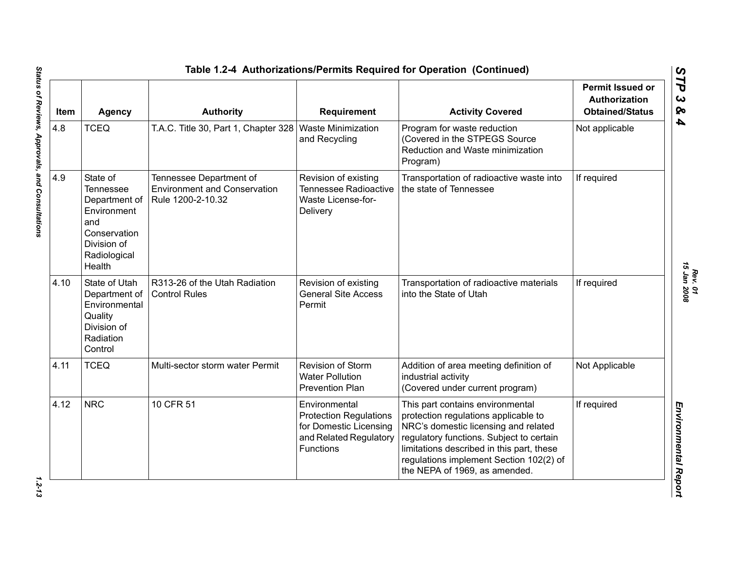| Item | <b>Agency</b>                                                                                                                | <b>Authority</b>                                                                    | Requirement                                                                                                     | <b>Activity Covered</b>                                                                                                                                                                                                                                                               | <b>Permit Issued or</b><br>Authorization<br><b>Obtained/Status</b> |
|------|------------------------------------------------------------------------------------------------------------------------------|-------------------------------------------------------------------------------------|-----------------------------------------------------------------------------------------------------------------|---------------------------------------------------------------------------------------------------------------------------------------------------------------------------------------------------------------------------------------------------------------------------------------|--------------------------------------------------------------------|
| 4.8  | <b>TCEQ</b>                                                                                                                  | T.A.C. Title 30, Part 1, Chapter 328   Waste Minimization                           | and Recycling                                                                                                   | Program for waste reduction<br>(Covered in the STPEGS Source<br>Reduction and Waste minimization<br>Program)                                                                                                                                                                          | Not applicable                                                     |
| 4.9  | State of<br><b>Tennessee</b><br>Department of<br>Environment<br>and<br>Conservation<br>Division of<br>Radiological<br>Health | Tennessee Department of<br><b>Environment and Conservation</b><br>Rule 1200-2-10.32 | Revision of existing<br><b>Tennessee Radioactive</b><br><b>Waste License-for-</b><br>Delivery                   | Transportation of radioactive waste into<br>the state of Tennessee                                                                                                                                                                                                                    | If required                                                        |
| 4.10 | State of Utah<br>Department of<br>Environmental<br>Quality<br>Division of<br>Radiation<br>Control                            | R313-26 of the Utah Radiation<br><b>Control Rules</b>                               | Revision of existing<br><b>General Site Access</b><br>Permit                                                    | Transportation of radioactive materials<br>into the State of Utah                                                                                                                                                                                                                     | If required                                                        |
| 4.11 | <b>TCEQ</b>                                                                                                                  | Multi-sector storm water Permit                                                     | <b>Revision of Storm</b><br><b>Water Pollution</b><br><b>Prevention Plan</b>                                    | Addition of area meeting definition of<br>industrial activity<br>(Covered under current program)                                                                                                                                                                                      | Not Applicable                                                     |
| 4.12 | <b>NRC</b>                                                                                                                   | 10 CFR 51                                                                           | Environmental<br><b>Protection Regulations</b><br>for Domestic Licensing<br>and Related Regulatory<br>Functions | This part contains environmental<br>protection regulations applicable to<br>NRC's domestic licensing and related<br>regulatory functions. Subject to certain<br>limitations described in this part, these<br>regulations implement Section 102(2) of<br>the NEPA of 1969, as amended. | If required                                                        |

Status of Reviews, Approvals, and Consultations *Status of Reviews, Approvals, and Consultations 1.2-13*

 $1.2 - 13$ 

*Rev. 01*<br>15 Jan 2008 *15 Jan 2008*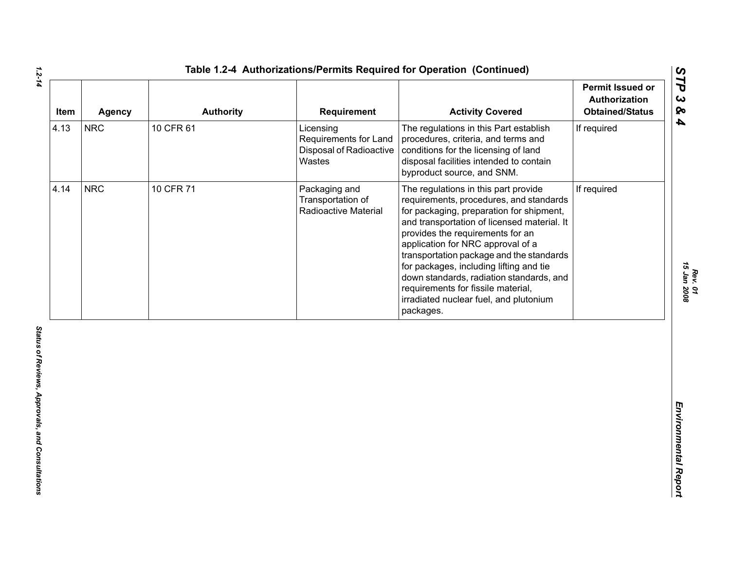| Item | Agency     | <b>Authority</b> | Requirement                                                             | <b>Activity Covered</b>                                                                                                                                                                                                                                                                                                                                                                                                                                                             | <b>Permit Issued or</b><br>Authorization<br><b>Obtained/Status</b> |
|------|------------|------------------|-------------------------------------------------------------------------|-------------------------------------------------------------------------------------------------------------------------------------------------------------------------------------------------------------------------------------------------------------------------------------------------------------------------------------------------------------------------------------------------------------------------------------------------------------------------------------|--------------------------------------------------------------------|
| 4.13 | <b>NRC</b> | 10 CFR 61        | Licensing<br>Requirements for Land<br>Disposal of Radioactive<br>Wastes | The regulations in this Part establish<br>procedures, criteria, and terms and<br>conditions for the licensing of land<br>disposal facilities intended to contain<br>byproduct source, and SNM.                                                                                                                                                                                                                                                                                      | If required                                                        |
| 4.14 | <b>NRC</b> | 10 CFR 71        | Packaging and<br>Transportation of<br>Radioactive Material              | The regulations in this part provide<br>requirements, procedures, and standards<br>for packaging, preparation for shipment,<br>and transportation of licensed material. It<br>provides the requirements for an<br>application for NRC approval of a<br>transportation package and the standards<br>for packages, including lifting and tie<br>down standards, radiation standards, and<br>requirements for fissile material,<br>irradiated nuclear fuel, and plutonium<br>packages. | If required                                                        |
|      |            |                  |                                                                         |                                                                                                                                                                                                                                                                                                                                                                                                                                                                                     |                                                                    |
|      |            |                  |                                                                         |                                                                                                                                                                                                                                                                                                                                                                                                                                                                                     |                                                                    |

*Rev. 01*